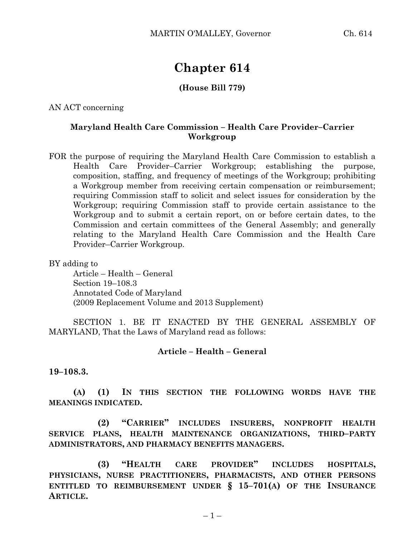## **Chapter 614**

## **(House Bill 779)**

AN ACT concerning

## **Maryland Health Care Commission – Health Care Provider–Carrier Workgroup**

FOR the purpose of requiring the Maryland Health Care Commission to establish a Health Care Provider–Carrier Workgroup; establishing the purpose, composition, staffing, and frequency of meetings of the Workgroup; prohibiting a Workgroup member from receiving certain compensation or reimbursement; requiring Commission staff to solicit and select issues for consideration by the Workgroup; requiring Commission staff to provide certain assistance to the Workgroup and to submit a certain report, on or before certain dates, to the Commission and certain committees of the General Assembly; and generally relating to the Maryland Health Care Commission and the Health Care Provider–Carrier Workgroup.

BY adding to

Article – Health – General Section 19–108.3 Annotated Code of Maryland (2009 Replacement Volume and 2013 Supplement)

SECTION 1. BE IT ENACTED BY THE GENERAL ASSEMBLY OF MARYLAND, That the Laws of Maryland read as follows:

## **Article – Health – General**

**19–108.3.**

**(A) (1) IN THIS SECTION THE FOLLOWING WORDS HAVE THE MEANINGS INDICATED.**

**(2) "CARRIER" INCLUDES INSURERS, NONPROFIT HEALTH SERVICE PLANS, HEALTH MAINTENANCE ORGANIZATIONS, THIRD–PARTY ADMINISTRATORS, AND PHARMACY BENEFITS MANAGERS.**

**(3) "HEALTH CARE PROVIDER" INCLUDES HOSPITALS, PHYSICIANS, NURSE PRACTITIONERS, PHARMACISTS, AND OTHER PERSONS ENTITLED TO REIMBURSEMENT UNDER § 15–701(A) OF THE INSURANCE ARTICLE.**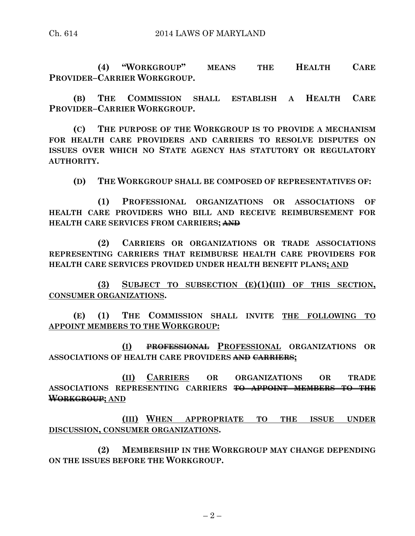**(4) "WORKGROUP" MEANS THE HEALTH CARE PROVIDER–CARRIER WORKGROUP.**

**(B) THE COMMISSION SHALL ESTABLISH A HEALTH CARE PROVIDER–CARRIER WORKGROUP.**

**(C) THE PURPOSE OF THE WORKGROUP IS TO PROVIDE A MECHANISM FOR HEALTH CARE PROVIDERS AND CARRIERS TO RESOLVE DISPUTES ON ISSUES OVER WHICH NO STATE AGENCY HAS STATUTORY OR REGULATORY AUTHORITY.**

**(D) THE WORKGROUP SHALL BE COMPOSED OF REPRESENTATIVES OF:**

**(1) PROFESSIONAL ORGANIZATIONS OR ASSOCIATIONS OF HEALTH CARE PROVIDERS WHO BILL AND RECEIVE REIMBURSEMENT FOR HEALTH CARE SERVICES FROM CARRIERS; AND**

**(2) CARRIERS OR ORGANIZATIONS OR TRADE ASSOCIATIONS REPRESENTING CARRIERS THAT REIMBURSE HEALTH CARE PROVIDERS FOR HEALTH CARE SERVICES PROVIDED UNDER HEALTH BENEFIT PLANS; AND**

**(3) SUBJECT TO SUBSECTION (E)(1)(III) OF THIS SECTION, CONSUMER ORGANIZATIONS.**

**(E) (1) THE COMMISSION SHALL INVITE THE FOLLOWING TO APPOINT MEMBERS TO THE WORKGROUP:**

**(I) PROFESSIONAL PROFESSIONAL ORGANIZATIONS OR ASSOCIATIONS OF HEALTH CARE PROVIDERS AND CARRIERS;**

**(II) CARRIERS OR ORGANIZATIONS OR TRADE ASSOCIATIONS REPRESENTING CARRIERS TO APPOINT MEMBERS TO THE WORKGROUP; AND**

**(III) WHEN APPROPRIATE TO THE ISSUE UNDER DISCUSSION, CONSUMER ORGANIZATIONS.**

**(2) MEMBERSHIP IN THE WORKGROUP MAY CHANGE DEPENDING ON THE ISSUES BEFORE THE WORKGROUP.**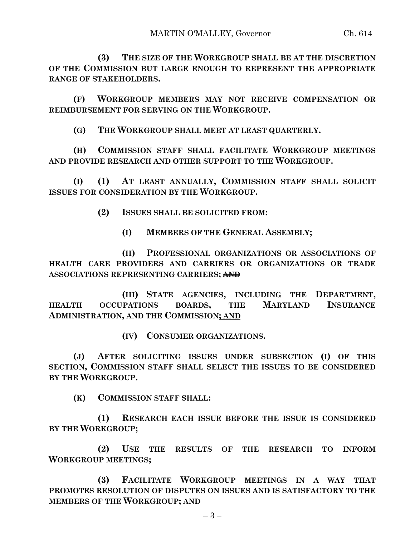**(3) THE SIZE OF THE WORKGROUP SHALL BE AT THE DISCRETION OF THE COMMISSION BUT LARGE ENOUGH TO REPRESENT THE APPROPRIATE RANGE OF STAKEHOLDERS.**

**(F) WORKGROUP MEMBERS MAY NOT RECEIVE COMPENSATION OR REIMBURSEMENT FOR SERVING ON THE WORKGROUP.**

**(G) THE WORKGROUP SHALL MEET AT LEAST QUARTERLY.**

**(H) COMMISSION STAFF SHALL FACILITATE WORKGROUP MEETINGS AND PROVIDE RESEARCH AND OTHER SUPPORT TO THE WORKGROUP.**

**(I) (1) AT LEAST ANNUALLY, COMMISSION STAFF SHALL SOLICIT ISSUES FOR CONSIDERATION BY THE WORKGROUP.**

**(2) ISSUES SHALL BE SOLICITED FROM:**

**(I) MEMBERS OF THE GENERAL ASSEMBLY;**

**(II) PROFESSIONAL ORGANIZATIONS OR ASSOCIATIONS OF HEALTH CARE PROVIDERS AND CARRIERS OR ORGANIZATIONS OR TRADE ASSOCIATIONS REPRESENTING CARRIERS; AND**

**(III) STATE AGENCIES, INCLUDING THE DEPARTMENT, HEALTH OCCUPATIONS BOARDS, THE MARYLAND INSURANCE ADMINISTRATION, AND THE COMMISSION; AND**

**(IV) CONSUMER ORGANIZATIONS.**

**(J) AFTER SOLICITING ISSUES UNDER SUBSECTION (I) OF THIS SECTION, COMMISSION STAFF SHALL SELECT THE ISSUES TO BE CONSIDERED BY THE WORKGROUP.**

**(K) COMMISSION STAFF SHALL:**

**(1) RESEARCH EACH ISSUE BEFORE THE ISSUE IS CONSIDERED BY THE WORKGROUP;**

**(2) USE THE RESULTS OF THE RESEARCH TO INFORM WORKGROUP MEETINGS;**

**(3) FACILITATE WORKGROUP MEETINGS IN A WAY THAT PROMOTES RESOLUTION OF DISPUTES ON ISSUES AND IS SATISFACTORY TO THE MEMBERS OF THE WORKGROUP; AND**